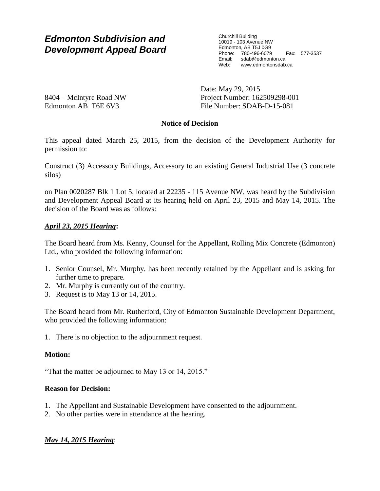# *Edmonton Subdivision and Development Appeal Board*

Churchill Building 10019 - 103 Avenue NW Edmonton, AB T5J 0G9 Phone: 780-496-6079 Fax: 577-3537 Email: sdab@edmonton.ca Web: www.edmontonsdab.ca

8404 – McIntyre Road NW Edmonton AB T6E 6V3

Date: May 29, 2015 Project Number: 162509298-001 File Number: SDAB-D-15-081

## **Notice of Decision**

This appeal dated March 25, 2015, from the decision of the Development Authority for permission to:

Construct (3) Accessory Buildings, Accessory to an existing General Industrial Use (3 concrete silos)

on Plan 0020287 Blk 1 Lot 5, located at 22235 - 115 Avenue NW, was heard by the Subdivision and Development Appeal Board at its hearing held on April 23, 2015 and May 14, 2015. The decision of the Board was as follows:

## *April 23, 2015 Hearing***:**

The Board heard from Ms. Kenny, Counsel for the Appellant, Rolling Mix Concrete (Edmonton) Ltd., who provided the following information:

- 1. Senior Counsel, Mr. Murphy, has been recently retained by the Appellant and is asking for further time to prepare.
- 2. Mr. Murphy is currently out of the country.
- 3. Request is to May 13 or 14, 2015.

The Board heard from Mr. Rutherford, City of Edmonton Sustainable Development Department, who provided the following information:

1. There is no objection to the adjournment request.

## **Motion:**

"That the matter be adjourned to May 13 or 14, 2015."

# **Reason for Decision:**

- 1. The Appellant and Sustainable Development have consented to the adjournment.
- 2. No other parties were in attendance at the hearing.

# *May 14, 2015 Hearing*: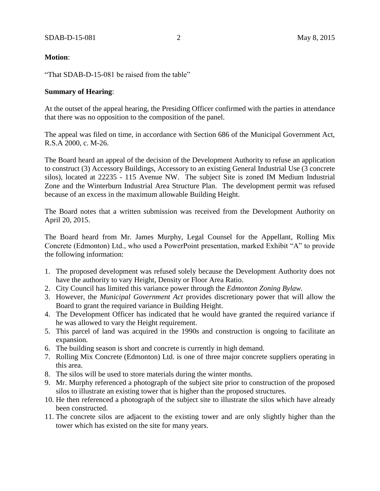#### **Motion**:

"That SDAB-D-15-081 be raised from the table"

#### **Summary of Hearing**:

At the outset of the appeal hearing, the Presiding Officer confirmed with the parties in attendance that there was no opposition to the composition of the panel.

The appeal was filed on time, in accordance with Section 686 of the Municipal Government Act, R.S.A 2000, c. M-26.

The Board heard an appeal of the decision of the Development Authority to refuse an application to construct (3) Accessory Buildings, Accessory to an existing General Industrial Use (3 concrete silos), located at 22235 - 115 Avenue NW. The subject Site is zoned IM Medium Industrial Zone and the Winterburn Industrial Area Structure Plan. The development permit was refused because of an excess in the maximum allowable Building Height.

The Board notes that a written submission was received from the Development Authority on April 20, 2015.

The Board heard from Mr. James Murphy, Legal Counsel for the Appellant, Rolling Mix Concrete (Edmonton) Ltd., who used a PowerPoint presentation, marked Exhibit "A" to provide the following information:

- 1. The proposed development was refused solely because the Development Authority does not have the authority to vary Height, Density or Floor Area Ratio.
- 2. City Council has limited this variance power through the *Edmonton Zoning Bylaw.*
- 3. However, the *Municipal Government Act* provides discretionary power that will allow the Board to grant the required variance in Building Height.
- 4. The Development Officer has indicated that he would have granted the required variance if he was allowed to vary the Height requirement.
- 5. This parcel of land was acquired in the 1990s and construction is ongoing to facilitate an expansion.
- 6. The building season is short and concrete is currently in high demand.
- 7. Rolling Mix Concrete (Edmonton) Ltd. is one of three major concrete suppliers operating in this area.
- 8. The silos will be used to store materials during the winter months.
- 9. Mr. Murphy referenced a photograph of the subject site prior to construction of the proposed silos to illustrate an existing tower that is higher than the proposed structures.
- 10. He then referenced a photograph of the subject site to illustrate the silos which have already been constructed.
- 11. The concrete silos are adjacent to the existing tower and are only slightly higher than the tower which has existed on the site for many years.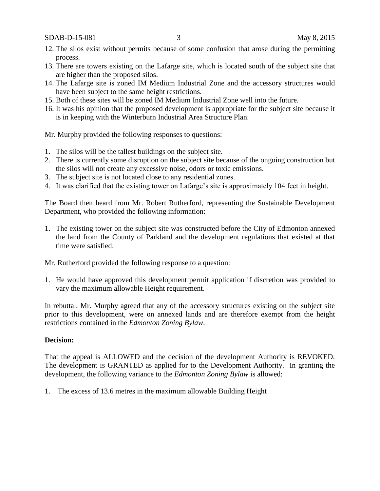SDAB-D-15-081 3 May 8, 2015

- 12. The silos exist without permits because of some confusion that arose during the permitting process.
- 13. There are towers existing on the Lafarge site, which is located south of the subject site that are higher than the proposed silos.
- 14. The Lafarge site is zoned IM Medium Industrial Zone and the accessory structures would have been subject to the same height restrictions.
- 15. Both of these sites will be zoned IM Medium Industrial Zone well into the future.
- 16. It was his opinion that the proposed development is appropriate for the subject site because it is in keeping with the Winterburn Industrial Area Structure Plan.

Mr. Murphy provided the following responses to questions:

- 1. The silos will be the tallest buildings on the subject site.
- 2. There is currently some disruption on the subject site because of the ongoing construction but the silos will not create any excessive noise, odors or toxic emissions.
- 3. The subject site is not located close to any residential zones.
- 4. It was clarified that the existing tower on Lafarge's site is approximately 104 feet in height.

The Board then heard from Mr. Robert Rutherford, representing the Sustainable Development Department, who provided the following information:

1. The existing tower on the subject site was constructed before the City of Edmonton annexed the land from the County of Parkland and the development regulations that existed at that time were satisfied.

Mr. Rutherford provided the following response to a question:

1. He would have approved this development permit application if discretion was provided to vary the maximum allowable Height requirement.

In rebuttal, Mr. Murphy agreed that any of the accessory structures existing on the subject site prior to this development, were on annexed lands and are therefore exempt from the height restrictions contained in the *Edmonton Zoning Bylaw*.

#### **Decision:**

That the appeal is ALLOWED and the decision of the development Authority is REVOKED. The development is GRANTED as applied for to the Development Authority. In granting the development, the following variance to the *Edmonton Zoning Bylaw* is allowed:

1. The excess of 13.6 metres in the maximum allowable Building Height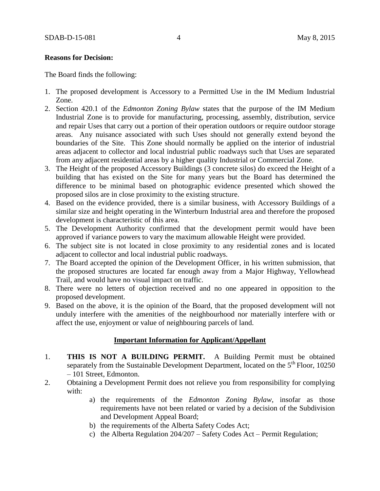#### **Reasons for Decision:**

The Board finds the following:

- 1. The proposed development is Accessory to a Permitted Use in the IM Medium Industrial Zone.
- 2. Section 420.1 of the *Edmonton Zoning Bylaw* states that the purpose of the IM Medium Industrial Zone is to provide for manufacturing, processing, assembly, distribution, service and repair Uses that carry out a portion of their operation outdoors or require outdoor storage areas. Any nuisance associated with such Uses should not generally extend beyond the boundaries of the Site. This Zone should normally be applied on the interior of industrial areas adjacent to collector and local industrial public roadways such that Uses are separated from any adjacent residential areas by a higher quality Industrial or Commercial Zone.
- 3. The Height of the proposed Accessory Buildings (3 concrete silos) do exceed the Height of a building that has existed on the Site for many years but the Board has determined the difference to be minimal based on photographic evidence presented which showed the proposed silos are in close proximity to the existing structure.
- 4. Based on the evidence provided, there is a similar business, with Accessory Buildings of a similar size and height operating in the Winterburn Industrial area and therefore the proposed development is characteristic of this area.
- 5. The Development Authority confirmed that the development permit would have been approved if variance powers to vary the maximum allowable Height were provided.
- 6. The subject site is not located in close proximity to any residential zones and is located adjacent to collector and local industrial public roadways.
- 7. The Board accepted the opinion of the Development Officer, in his written submission, that the proposed structures are located far enough away from a Major Highway, Yellowhead Trail, and would have no visual impact on traffic.
- 8. There were no letters of objection received and no one appeared in opposition to the proposed development.
- 9. Based on the above, it is the opinion of the Board, that the proposed development will not unduly interfere with the amenities of the neighbourhood nor materially interfere with or affect the use, enjoyment or value of neighbouring parcels of land.

## **Important Information for Applicant/Appellant**

- 1. **THIS IS NOT A BUILDING PERMIT.** A Building Permit must be obtained separately from the Sustainable Development Department, located on the  $5<sup>th</sup>$  Floor, 10250 – 101 Street, Edmonton.
- 2. Obtaining a Development Permit does not relieve you from responsibility for complying with:
	- a) the requirements of the *Edmonton Zoning Bylaw*, insofar as those requirements have not been related or varied by a decision of the Subdivision and Development Appeal Board;
	- b) the requirements of the Alberta Safety Codes Act;
	- c) the Alberta Regulation 204/207 Safety Codes Act Permit Regulation;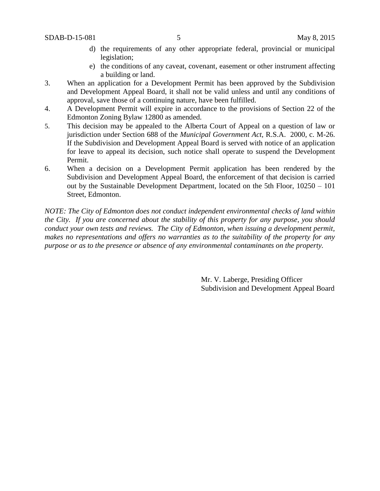- d) the requirements of any other appropriate federal, provincial or municipal legislation;
- e) the conditions of any caveat, covenant, easement or other instrument affecting a building or land.
- 3. When an application for a Development Permit has been approved by the Subdivision and Development Appeal Board, it shall not be valid unless and until any conditions of approval, save those of a continuing nature, have been fulfilled.
- 4. A Development Permit will expire in accordance to the provisions of Section 22 of the Edmonton Zoning Bylaw 12800 as amended.
- 5. This decision may be appealed to the Alberta Court of Appeal on a question of law or jurisdiction under Section 688 of the *Municipal Government Act*, R.S.A. 2000, c. M-26. If the Subdivision and Development Appeal Board is served with notice of an application for leave to appeal its decision, such notice shall operate to suspend the Development Permit.
- 6. When a decision on a Development Permit application has been rendered by the Subdivision and Development Appeal Board, the enforcement of that decision is carried out by the Sustainable Development Department, located on the 5th Floor, 10250 – 101 Street, Edmonton.

*NOTE: The City of Edmonton does not conduct independent environmental checks of land within the City. If you are concerned about the stability of this property for any purpose, you should conduct your own tests and reviews. The City of Edmonton, when issuing a development permit, makes no representations and offers no warranties as to the suitability of the property for any purpose or as to the presence or absence of any environmental contaminants on the property.*

> Mr. V. Laberge, Presiding Officer Subdivision and Development Appeal Board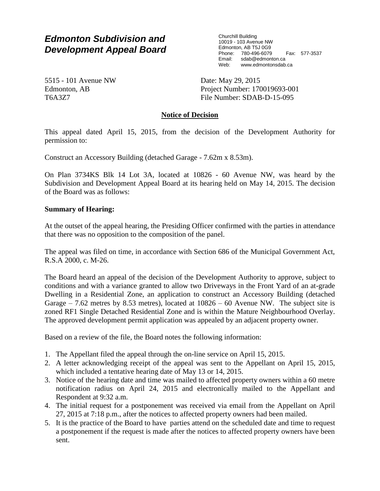# *Edmonton Subdivision and Development Appeal Board*

Churchill Building 10019 - 103 Avenue NW Edmonton, AB T5J 0G9 Phone: 780-496-6079 Fax: 577-3537 Email: sdab@edmonton.ca Web: www.edmontonsdab.ca

5515 - 101 Avenue NW Edmonton, AB T6A3Z7

Date: May 29, 2015 Project Number: 170019693-001 File Number: SDAB-D-15-095

## **Notice of Decision**

This appeal dated April 15, 2015, from the decision of the Development Authority for permission to:

Construct an Accessory Building (detached Garage - 7.62m x 8.53m).

On Plan 3734KS Blk 14 Lot 3A, located at 10826 - 60 Avenue NW, was heard by the Subdivision and Development Appeal Board at its hearing held on May 14, 2015. The decision of the Board was as follows:

#### **Summary of Hearing:**

At the outset of the appeal hearing, the Presiding Officer confirmed with the parties in attendance that there was no opposition to the composition of the panel.

The appeal was filed on time, in accordance with Section 686 of the Municipal Government Act, R.S.A 2000, c. M-26.

The Board heard an appeal of the decision of the Development Authority to approve, subject to conditions and with a variance granted to allow two Driveways in the Front Yard of an at-grade Dwelling in a Residential Zone, an application to construct an Accessory Building (detached Garage  $-7.62$  metres by 8.53 metres), located at  $10826 - 60$  Avenue NW. The subject site is zoned RF1 Single Detached Residential Zone and is within the Mature Neighbourhood Overlay. The approved development permit application was appealed by an adjacent property owner.

Based on a review of the file, the Board notes the following information:

- 1. The Appellant filed the appeal through the on-line service on April 15, 2015.
- 2. A letter acknowledging receipt of the appeal was sent to the Appellant on April 15, 2015, which included a tentative hearing date of May 13 or 14, 2015.
- 3. Notice of the hearing date and time was mailed to affected property owners within a 60 metre notification radius on April 24, 2015 and electronically mailed to the Appellant and Respondent at 9:32 a.m.
- 4. The initial request for a postponement was received via email from the Appellant on April 27, 2015 at 7:18 p.m., after the notices to affected property owners had been mailed.
- 5. It is the practice of the Board to have parties attend on the scheduled date and time to request a postponement if the request is made after the notices to affected property owners have been sent.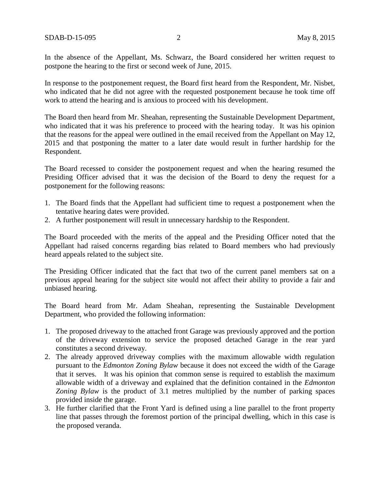In the absence of the Appellant, Ms. Schwarz, the Board considered her written request to postpone the hearing to the first or second week of June, 2015.

In response to the postponement request, the Board first heard from the Respondent, Mr. Nisbet, who indicated that he did not agree with the requested postponement because he took time off work to attend the hearing and is anxious to proceed with his development.

The Board then heard from Mr. Sheahan, representing the Sustainable Development Department, who indicated that it was his preference to proceed with the hearing today. It was his opinion that the reasons for the appeal were outlined in the email received from the Appellant on May 12, 2015 and that postponing the matter to a later date would result in further hardship for the Respondent.

The Board recessed to consider the postponement request and when the hearing resumed the Presiding Officer advised that it was the decision of the Board to deny the request for a postponement for the following reasons:

- 1. The Board finds that the Appellant had sufficient time to request a postponement when the tentative hearing dates were provided.
- 2. A further postponement will result in unnecessary hardship to the Respondent.

The Board proceeded with the merits of the appeal and the Presiding Officer noted that the Appellant had raised concerns regarding bias related to Board members who had previously heard appeals related to the subject site.

The Presiding Officer indicated that the fact that two of the current panel members sat on a previous appeal hearing for the subject site would not affect their ability to provide a fair and unbiased hearing.

The Board heard from Mr. Adam Sheahan, representing the Sustainable Development Department, who provided the following information:

- 1. The proposed driveway to the attached front Garage was previously approved and the portion of the driveway extension to service the proposed detached Garage in the rear yard constitutes a second driveway.
- 2. The already approved driveway complies with the maximum allowable width regulation pursuant to the *Edmonton Zoning Bylaw* because it does not exceed the width of the Garage that it serves. It was his opinion that common sense is required to establish the maximum allowable width of a driveway and explained that the definition contained in the *Edmonton Zoning Bylaw* is the product of 3.1 metres multiplied by the number of parking spaces provided inside the garage.
- 3. He further clarified that the Front Yard is defined using a line parallel to the front property line that passes through the foremost portion of the principal dwelling, which in this case is the proposed veranda.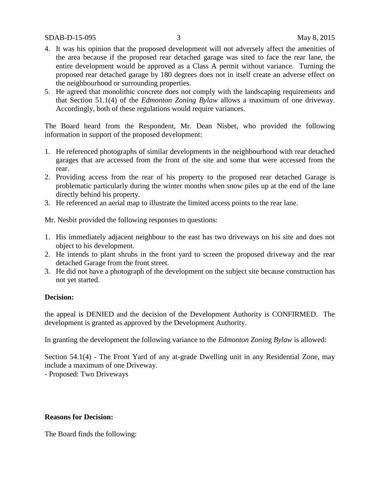#### SDAB-D-15-095 3 May 8, 2015

- 4. It was his opinion that the proposed development will not adversely affect the amenities of the area because if the proposed rear detached garage was sited to face the rear lane, the entire development would be approved as a Class A permit without variance. Turning the proposed rear detached garage by 180 degrees does not in itself create an adverse effect on the neighbourhood or surrounding properties.
- 5. He agreed that monolithic concrete does not comply with the landscaping requirements and that Section 51.1(4) of the *Edmonton Zoning Bylaw* allows a maximum of one driveway. Accordingly, both of these regulations would require variances.

The Board heard from the Respondent, Mr. Dean Nisbet, who provided the following information in support of the proposed development:

- 1. He referenced photographs of similar developments in the neighbourhood with rear detached garages that are accessed from the front of the site and some that were accessed from the rear.
- 2. Providing access from the rear of his property to the proposed rear detached Garage is problematic particularly during the winter months when snow piles up at the end of the lane directly behind his property.
- 3. He referenced an aerial map to illustrate the limited access points to the rear lane.

Mr. Nesbit provided the following responses to questions:

- 1. His immediately adjacent neighbour to the east has two driveways on his site and does not object to his development.
- 2. He intends to plant shrubs in the front yard to screen the proposed driveway and the rear detached Garage from the front street.
- 3. He did not have a photograph of the development on the subject site because construction has not yet started.

## **Decision:**

the appeal is DENIED and the decision of the Development Authority is CONFIRMED. The development is granted as approved by the Development Authority.

In granting the development the following variance to the *Edmonton Zonin*g *Bylaw* is allowed:

Section 54.1(4) - The Front Yard of any at-grade Dwelling unit in any Residential Zone, may include a maximum of one Driveway.

- Proposed: Two Driveways

#### **Reasons for Decision:**

The Board finds the following: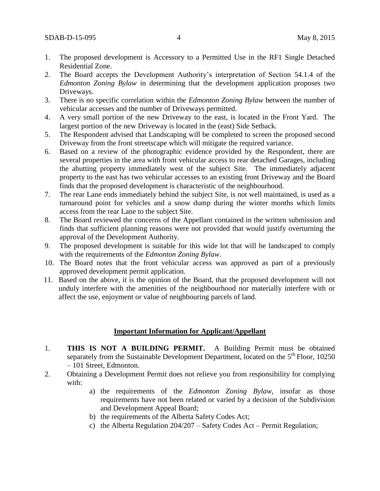- 1. The proposed development is Accessory to a Permitted Use in the RF1 Single Detached Residential Zone.
- 2. The Board accepts the Development Authority's interpretation of Section 54.1.4 of the *Edmonton Zoning Bylaw* in determining that the development application proposes two Driveways.
- 3. There is no specific correlation within the *Edmonton Zoning Bylaw* between the number of vehicular accesses and the number of Driveways permitted.
- 4. A very small portion of the new Driveway to the east, is located in the Front Yard. The largest portion of the new Driveway is located in the (east) Side Setback.
- 5. The Respondent advised that Landscaping will be completed to screen the proposed second Driveway from the front streetscape which will mitigate the required variance.
- 6. Based on a review of the photographic evidence provided by the Respondent, there are several properties in the area with front vehicular access to rear detached Garages, including the abutting property immediately west of the subject Site. The immediately adjacent property to the east has two vehicular accesses to an existing front Driveway and the Board finds that the proposed development is characteristic of the neighbourhood.
- 7. The rear Lane ends immediately behind the subject Site, is not well maintained, is used as a turnaround point for vehicles and a snow dump during the winter months which limits access from the rear Lane to the subject Site.
- 8. The Board reviewed the concerns of the Appellant contained in the written submission and finds that sufficient planning reasons were not provided that would justify overturning the approval of the Development Authority.
- 9. The proposed development is suitable for this wide lot that will be landscaped to comply with the requirements of the *Edmonton Zoning Bylaw*.
- 10. The Board notes that the front vehicular access was approved as part of a previously approved development permit application.
- 11. Based on the above, it is the opinion of the Board, that the proposed development will not unduly interfere with the amenities of the neighbourhood nor materially interfere with or affect the use, enjoyment or value of neighbouring parcels of land.

## **Important Information for Applicant/Appellant**

- 1. **THIS IS NOT A BUILDING PERMIT.** A Building Permit must be obtained separately from the Sustainable Development Department, located on the  $5<sup>th</sup>$  Floor, 10250 – 101 Street, Edmonton.
- 2. Obtaining a Development Permit does not relieve you from responsibility for complying with:
	- a) the requirements of the *Edmonton Zoning Bylaw*, insofar as those requirements have not been related or varied by a decision of the Subdivision and Development Appeal Board;
	- b) the requirements of the Alberta Safety Codes Act;
	- c) the Alberta Regulation 204/207 Safety Codes Act Permit Regulation;